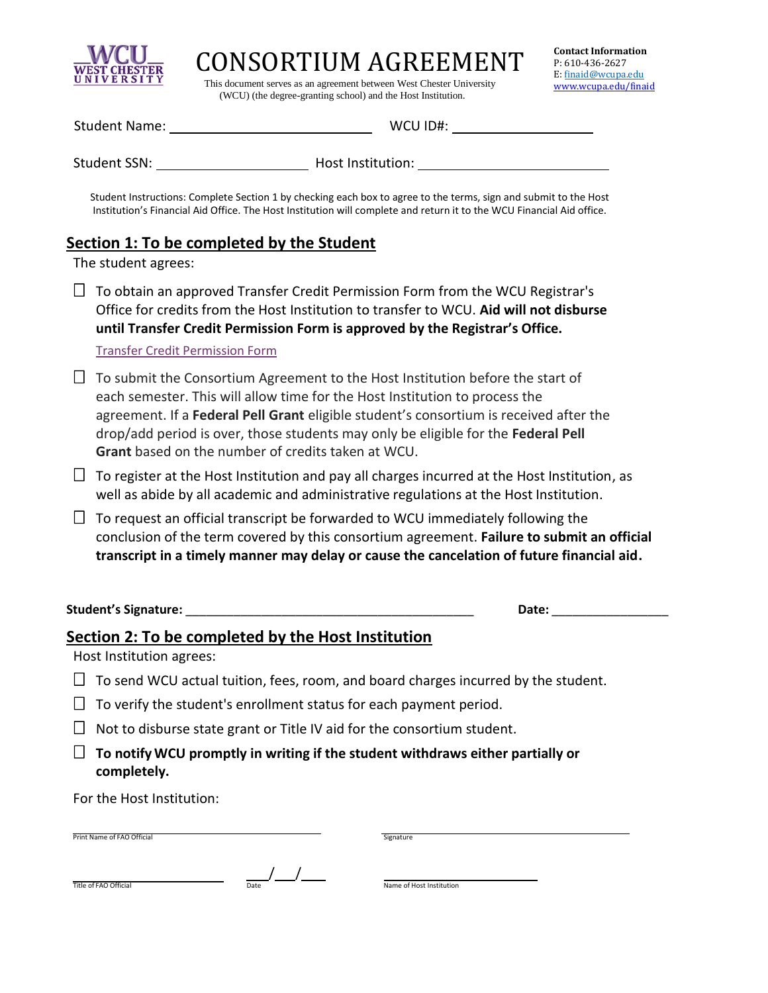

CONSORTIUM AGREEMENT

 This document serves as an agreement between West Chester University (WCU) (the degree-granting school) and the Host Institution.

| <b>Student Name:</b> |  |  |
|----------------------|--|--|
|                      |  |  |

WCU ID#: WCU ID#:

Student SSN: Student SSN: Student SSN: Host Institution:

Student Instructions: Complete Section 1 by checking each box to agree to the terms, sign and submit to the Host Institution's Financial Aid Office. The Host Institution will complete and return it to the WCU Financial Aid office.

## **Section 1: To be completed by the Student**

The student agrees:

 $\Box$  To obtain an approved Transfer Credit Permission Form from the WCU Registrar's Office for credits from the Host Institution to transfer to WCU. **Aid will not disburse until Transfer Credit Permission Form is approved by the Registrar's Office.** 

[Transfer Credit Permission Form](https://www.wcupa.edu/registrar/documents/transferCreditPermissionEN.pdf)

- $\Box$  To submit the Consortium Agreement to the Host Institution before the start of each semester. This will allow time for the Host Institution to process the agreement. If a **Federal Pell Grant** eligible student's consortium is received after the drop/add period is over, those students may only be eligible for the **Federal Pell Grant** based on the number of credits taken at WCU.
- $\Box$  To register at the Host Institution and pay all charges incurred at the Host Institution, as well as abide by all academic and administrative regulations at the Host Institution.
- $\Box$  To request an official transcript be forwarded to WCU immediately following the conclusion of the term covered by this consortium agreement. **Failure to submit an official transcript in a timely manner may delay or cause the cancelation of future financial aid.**

**Student's Signature:** \_\_\_\_\_\_\_\_\_\_\_\_\_\_\_\_\_\_\_\_\_\_\_\_\_\_\_\_\_\_\_\_\_\_\_\_\_\_\_\_\_\_ **Date:** \_\_\_\_\_\_\_\_\_\_\_\_\_\_\_\_\_

## **Section 2: To be completed by the Host Institution**

Host Institution agrees:

- $\Box$  To send WCU actual tuition, fees, room, and board charges incurred by the student.
- $\Box$  To verify the student's enrollment status for each payment period.
- $\Box$  Not to disburse state grant or Title IV aid for the consortium student.
- **To notify WCU promptly in writing if the student withdraws either partially or completely.**

For the Host Institution:

| Print Name of FAO Official |      | Signature                |
|----------------------------|------|--------------------------|
| Title of FAO Official      | Date | Name of Host Institution |